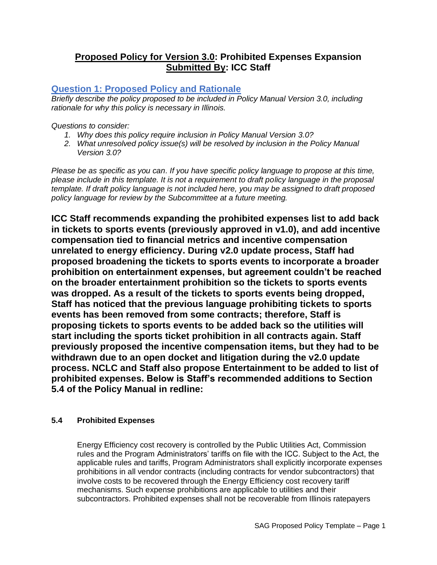# **Proposed Policy for Version 3.0: Prohibited Expenses Expansion Submitted By: ICC Staff**

# **Question 1: Proposed Policy and Rationale**

*Briefly describe the policy proposed to be included in Policy Manual Version 3.0, including rationale for why this policy is necessary in Illinois.* 

*Questions to consider:* 

- *1. Why does this policy require inclusion in Policy Manual Version 3.0?*
- *2. What unresolved policy issue(s) will be resolved by inclusion in the Policy Manual Version 3.0?*

*Please be as specific as you can. If you have specific policy language to propose at this time, please include in this template. It is not a requirement to draft policy language in the proposal template. If draft policy language is not included here, you may be assigned to draft proposed policy language for review by the Subcommittee at a future meeting.*

**ICC Staff recommends expanding the prohibited expenses list to add back in tickets to sports events (previously approved in v1.0), and add incentive compensation tied to financial metrics and incentive compensation unrelated to energy efficiency. During v2.0 update process, Staff had proposed broadening the tickets to sports events to incorporate a broader prohibition on entertainment expenses, but agreement couldn't be reached on the broader entertainment prohibition so the tickets to sports events was dropped. As a result of the tickets to sports events being dropped, Staff has noticed that the previous language prohibiting tickets to sports events has been removed from some contracts; therefore, Staff is proposing tickets to sports events to be added back so the utilities will start including the sports ticket prohibition in all contracts again. Staff previously proposed the incentive compensation items, but they had to be withdrawn due to an open docket and litigation during the v2.0 update process. NCLC and Staff also propose Entertainment to be added to list of prohibited expenses. Below is Staff's recommended additions to Section 5.4 of the Policy Manual in redline:**

### **5.4 Prohibited Expenses**

Energy Efficiency cost recovery is controlled by the Public Utilities Act, Commission rules and the Program Administrators' tariffs on file with the ICC. Subject to the Act, the applicable rules and tariffs, Program Administrators shall explicitly incorporate expenses prohibitions in all vendor contracts (including contracts for vendor subcontractors) that involve costs to be recovered through the Energy Efficiency cost recovery tariff mechanisms. Such expense prohibitions are applicable to utilities and their subcontractors. Prohibited expenses shall not be recoverable from Illinois ratepayers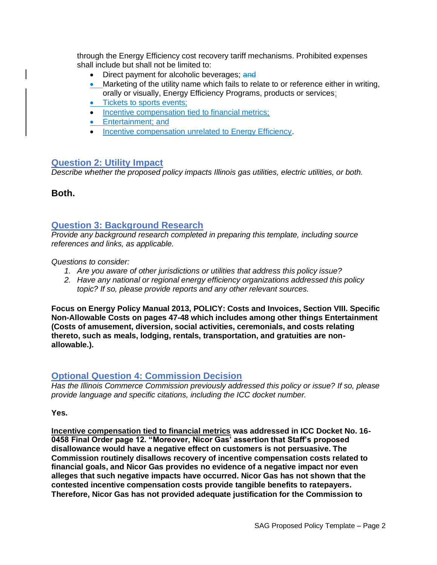through the Energy Efficiency cost recovery tariff mechanisms. Prohibited expenses shall include but shall not be limited to:

- Direct payment for alcoholic beverages; and
- Marketing of the utility name which fails to relate to or reference either in writing, orally or visually, Energy Efficiency Programs, products or services;
- Tickets to sports events;
- Incentive compensation tied to financial metrics:
- Entertainment; and
- Incentive compensation unrelated to Energy Efficiency.

#### **Question 2: Utility Impact**

*Describe whether the proposed policy impacts Illinois gas utilities, electric utilities, or both.* 

**Both.**

### **Question 3: Background Research**

*Provide any background research completed in preparing this template, including source references and links, as applicable.* 

*Questions to consider:*

- *1. Are you aware of other jurisdictions or utilities that address this policy issue?*
- *2. Have any national or regional energy efficiency organizations addressed this policy topic? If so, please provide reports and any other relevant sources.*

**Focus on Energy Policy Manual 2013, POLICY: Costs and Invoices, Section VIII. Specific Non-Allowable Costs on pages 47-48 which includes among other things Entertainment (Costs of amusement, diversion, social activities, ceremonials, and costs relating thereto, such as meals, lodging, rentals, transportation, and gratuities are nonallowable.).**

### **Optional Question 4: Commission Decision**

*Has the Illinois Commerce Commission previously addressed this policy or issue? If so, please provide language and specific citations, including the ICC docket number.*

**Yes.** 

**Incentive compensation tied to financial metrics was addressed in ICC Docket No. 16- 0458 Final Order page 12. "Moreover, Nicor Gas' assertion that Staff's proposed disallowance would have a negative effect on customers is not persuasive. The Commission routinely disallows recovery of incentive compensation costs related to financial goals, and Nicor Gas provides no evidence of a negative impact nor even alleges that such negative impacts have occurred. Nicor Gas has not shown that the contested incentive compensation costs provide tangible benefits to ratepayers. Therefore, Nicor Gas has not provided adequate justification for the Commission to**